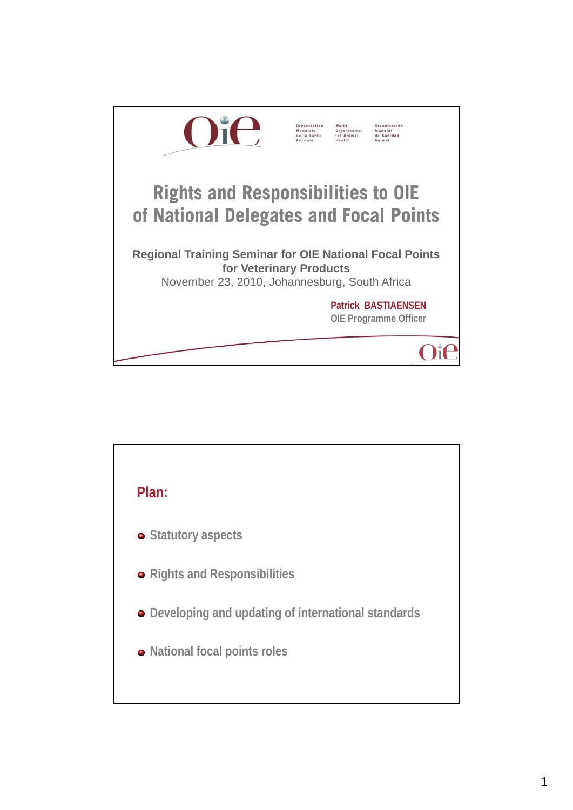

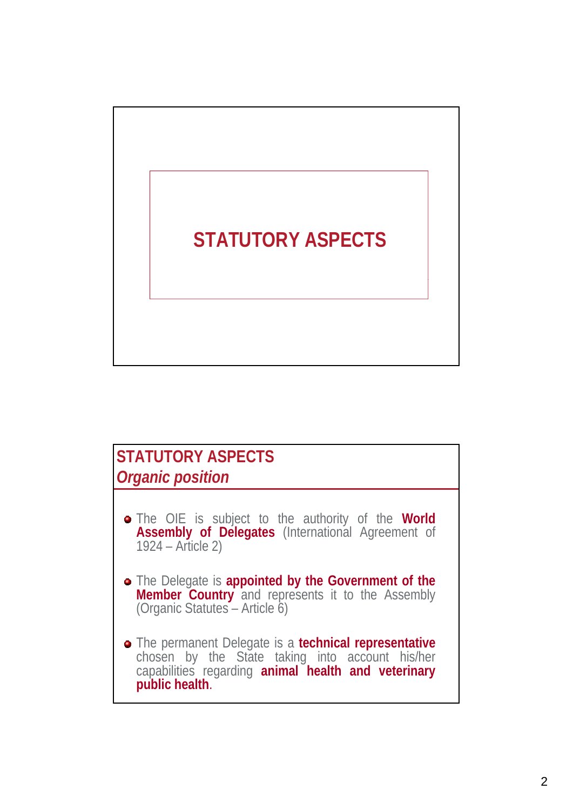# **STATUTORY ASPECTS**

# **STATUTORY ASPECTS** *Organic position*

- The OIE is subject to the authority of the **World Assembly of Delegates** (International Agreement of 1924 – Article 2)
- The Delegate is **appointed by the Government of the Member Country** and represents it to the Assembly (Organic Statutes – Article 6)
- The permanent Delegate is a **technical representative** chosen by the State taking into account his/her capabilities regarding **animal health and veterinary public health**.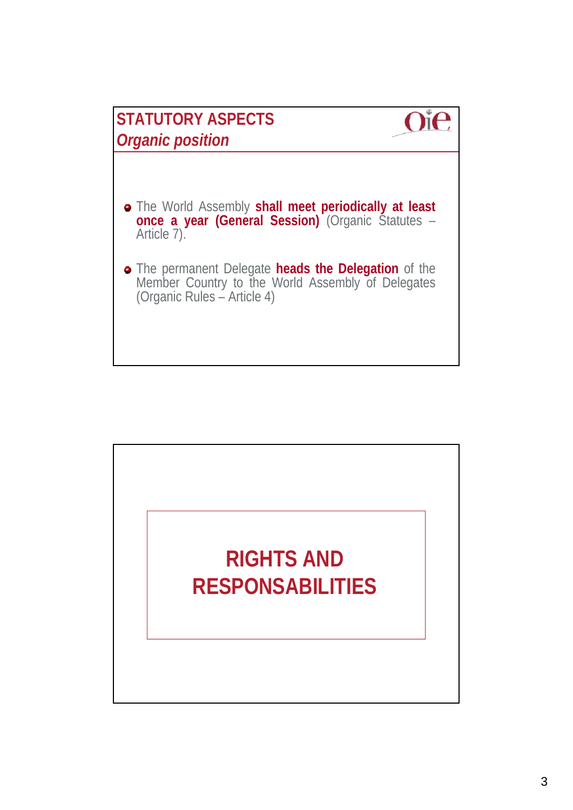

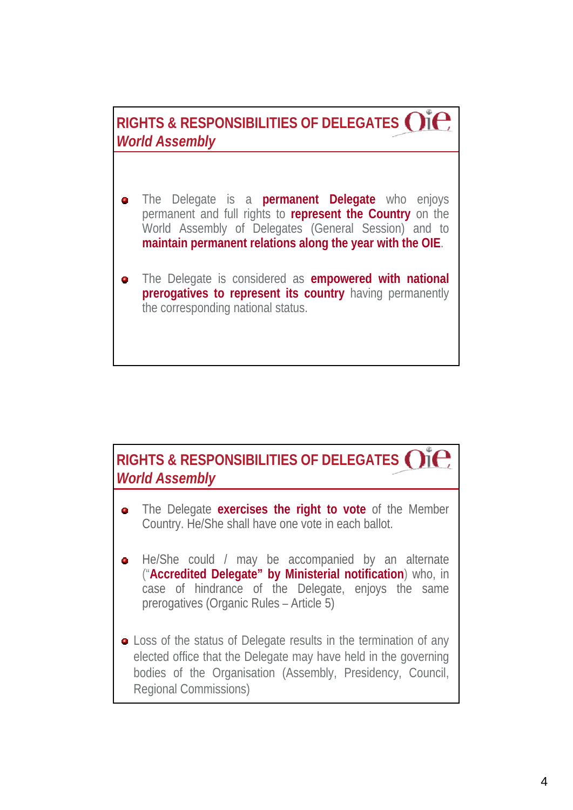**RIGHTS & RESPONSIBILITIES OF DELEGATES** *World Assembly*

- The Delegate is a **permanent Delegate** who enjoys  $\bullet$ permanent and full rights to **represent the Country** on the World Assembly of Delegates (General Session) and to **maintain permanent relations along the year with the OIE**.
- The Delegate is considered as **empowered with national**  $\bullet$ **prerogatives to represent its country** having permanently the corresponding national status.

## **RIGHTS & RESPONSIBILITIES OF DELEGATES** *World Assembly*

- The Delegate **exercises the right to vote** of the Member  $\bullet$ Country. He/She shall have one vote in each ballot.
- He/She could / may be accompanied by an alternate  $\bullet$ ("**Accredited Delegate" by Ministerial notification**) who, in case of hindrance of the Delegate, enjoys the same prerogatives (Organic Rules – Article 5)
- Loss of the status of Delegate results in the termination of any elected office that the Delegate may have held in the governing bodies of the Organisation (Assembly, Presidency, Council, Regional Commissions)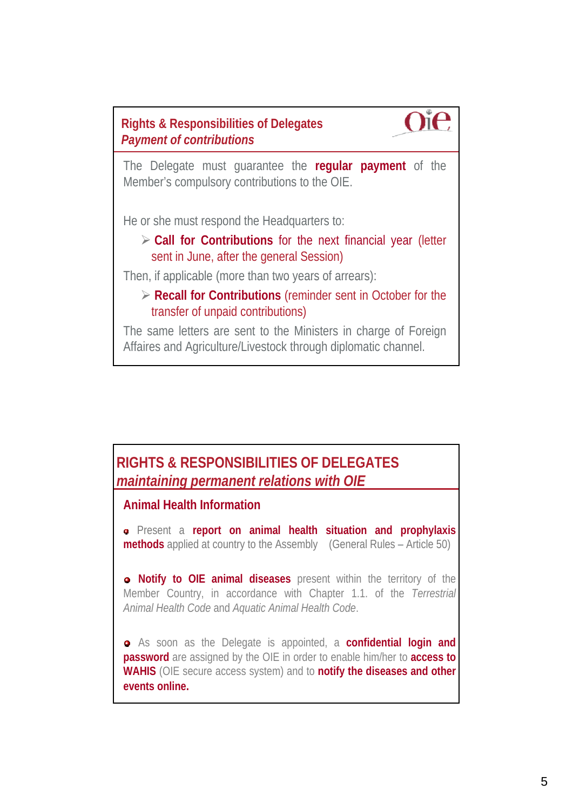**Rights & Responsibilities of Delegates**  *Payment of contributions*



The Delegate must guarantee the **regular payment** of the Member's compulsory contributions to the OIE.

He or she must respond the Headquarters to:

 **Call for Contributions** for the next financial year (letter sent in June, after the general Session)

Then, if applicable (more than two years of arrears):

 **Recall for Contributions** (reminder sent in October for the transfer of unpaid contributions)

The same letters are sent to the Ministers in charge of Foreign Affaires and Agriculture/Livestock through diplomatic channel.

### **RIGHTS & RESPONSIBILITIES OF DELEGATES**  *maintaining permanent relations with OIE*

### **Animal Health Information**

Present a **report on animal health situation and prophylaxis methods** applied at country to the Assembly (General Rules – Article 50)

**Notify to OIE animal diseases** present within the territory of the Member Country, in accordance with Chapter 1.1. of the *Terrestrial Animal Health Code* and *Aquatic Animal Health Code*.

As soon as the Delegate is appointed, a **confidential login and password** are assigned by the OIE in order to enable him/her to **access to WAHIS** (OIE secure access system) and to **notify the diseases and other events online.**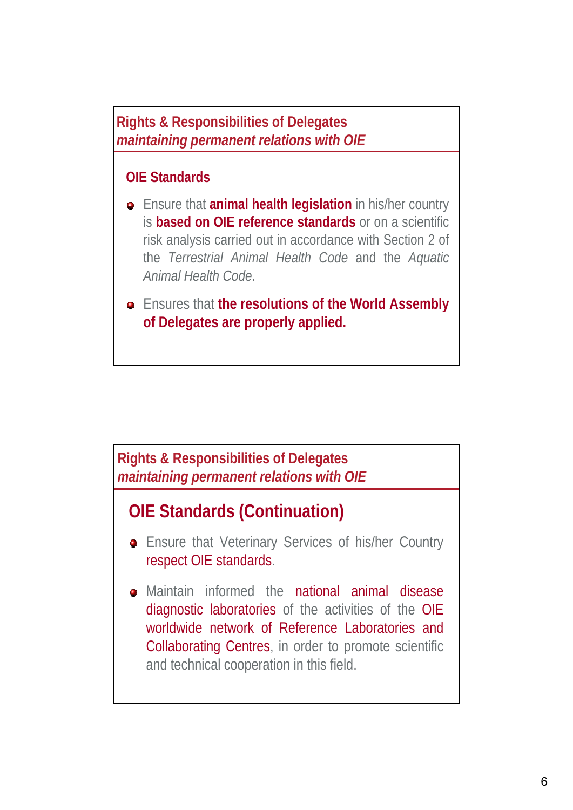**Rights & Responsibilities of Delegates**  *maintaining permanent relations with OIE*

### **OIE Standards**

- Ensure that **animal health legislation** in his/her country is **based on OIE reference standards** or on a scientific risk analysis carried out in accordance with Section 2 of the *Terrestrial Animal Health Code* and the *Aquatic Animal Health Code*.
- Ensures that **the resolutions of the World Assembly of Delegates are properly applied.**

### **Rights & Responsibilities of Delegates**  *maintaining permanent relations with OIE*

# **OIE Standards (Continuation)**

- **Ensure that Veterinary Services of his/her Country** respect OIE standards.
- Maintain informed the national animal disease diagnostic laboratories of the activities of the OIE worldwide network of Reference Laboratories and Collaborating Centres, in order to promote scientific and technical cooperation in this field.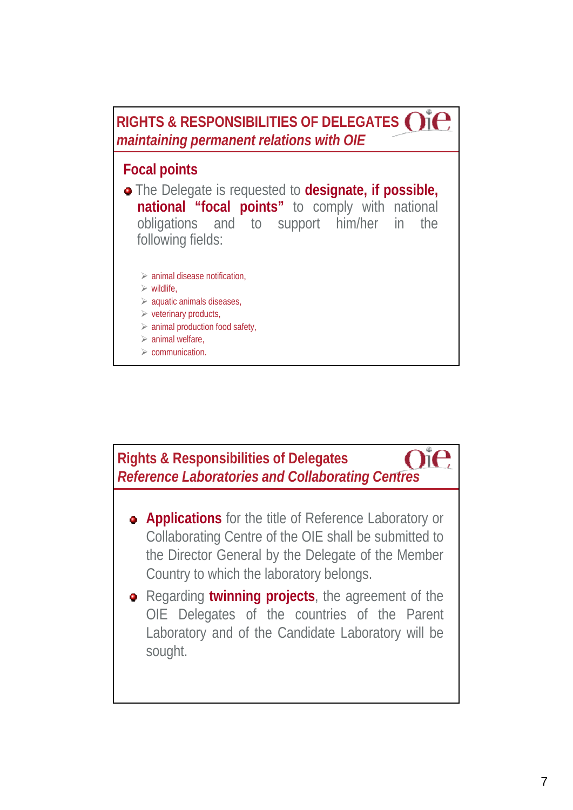**RIGHTS & RESPONSIBILITIES OF DELEGATES**  *maintaining permanent relations with OIE*

### **Focal points**

- **e** The Delegate is requested to **designate**, if **possible**, **national "focal points"** to comply with national obligations and to support him/her in the following fields:
	- $\triangleright$  animal disease notification,
	- $\triangleright$  wildlife.
	- $\triangleright$  aquatic animals diseases,
	- $\triangleright$  veterinary products,
	- $\triangleright$  animal production food safety,
	- $\geq$  animal welfare,
	- $\triangleright$  communication.

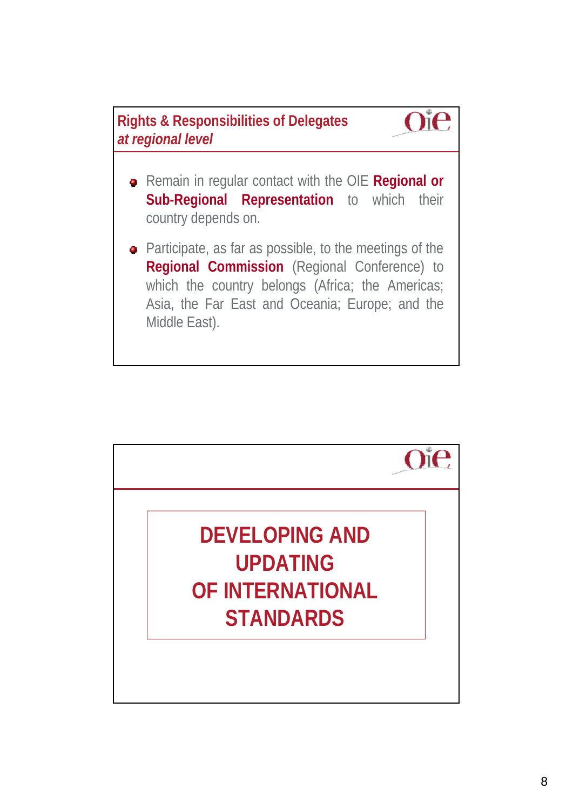



- Remain in regular contact with the OIE **Regional or Sub-Regional Representation** to which their country depends on.
- Participate, as far as possible, to the meetings of the **Regional Commission** (Regional Conference) to which the country belongs (Africa; the Americas; Asia, the Far East and Oceania; Europe; and the Middle East).

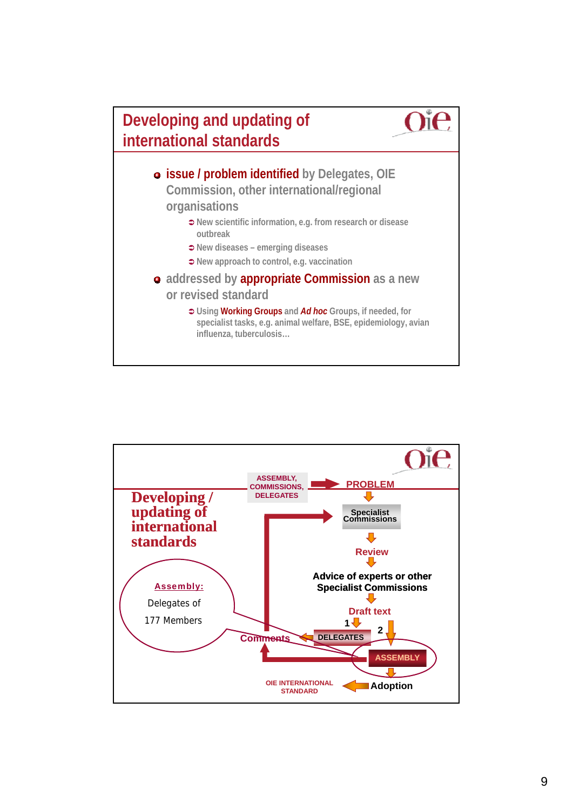

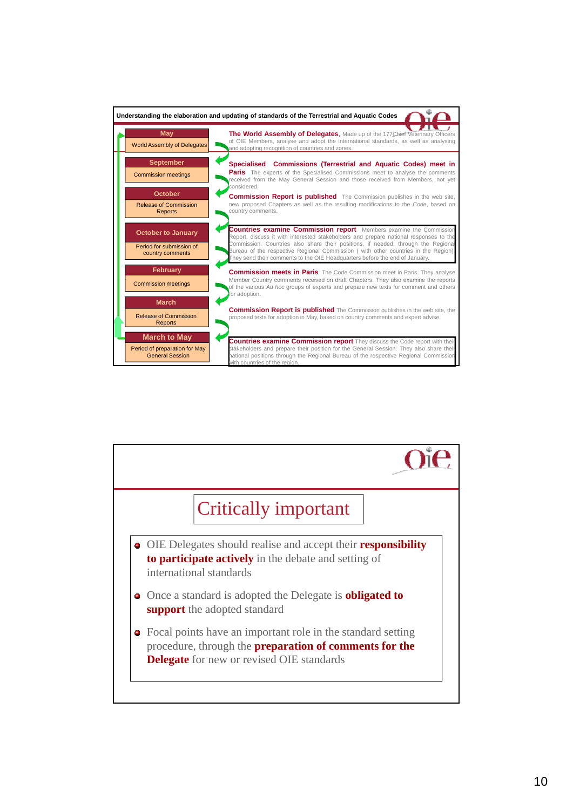

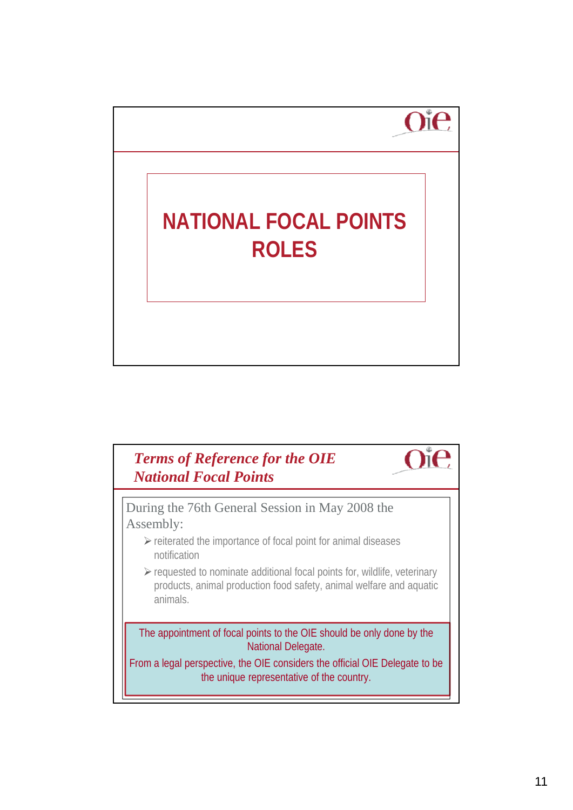

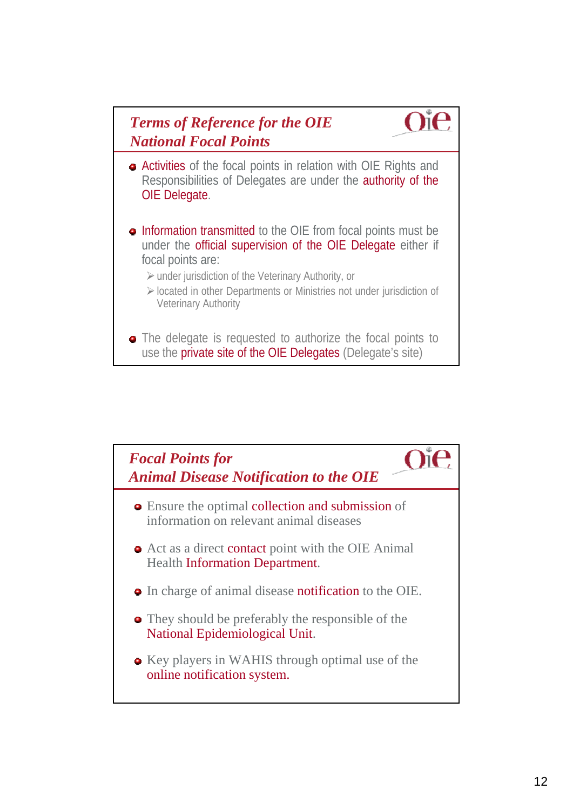

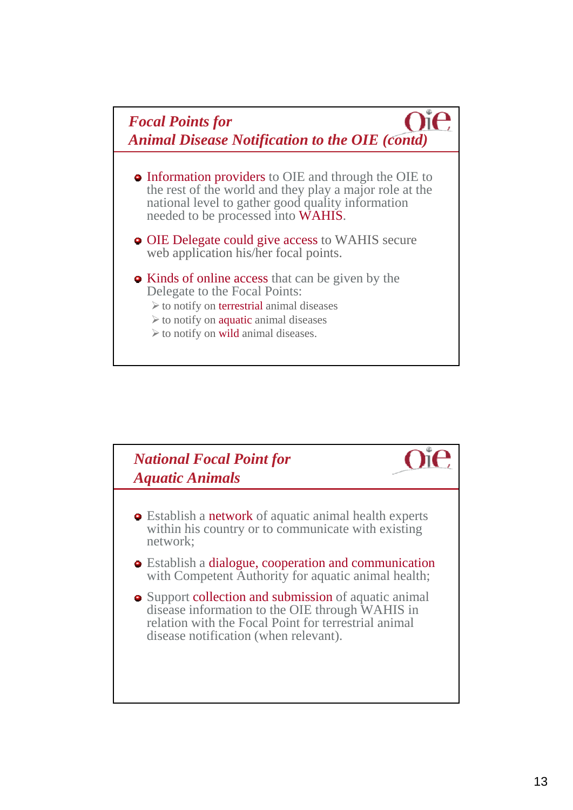

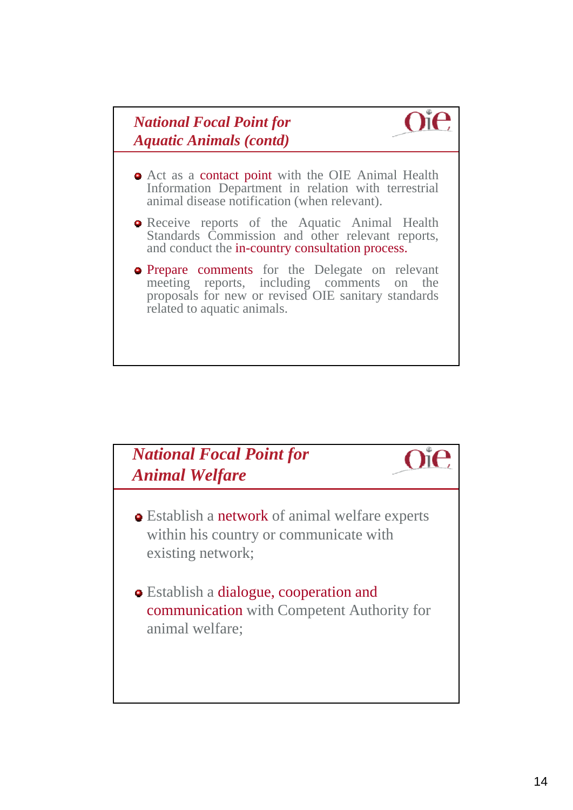### *National Focal Point for Aquatic Animals (contd)*

Act as a contact point with the OIE Animal Health Information Department in relation with terrestrial animal disease notification (when relevant).

**Oie** 

- **•** Receive reports of the Aquatic Animal Health Standards Commission and other relevant reports, and conduct the in-country consultation process.
- **Prepare comments** for the Delegate on relevant meeting reports, including comments on the proposals for new or revised OIE sanitary standards related to aquatic animals.

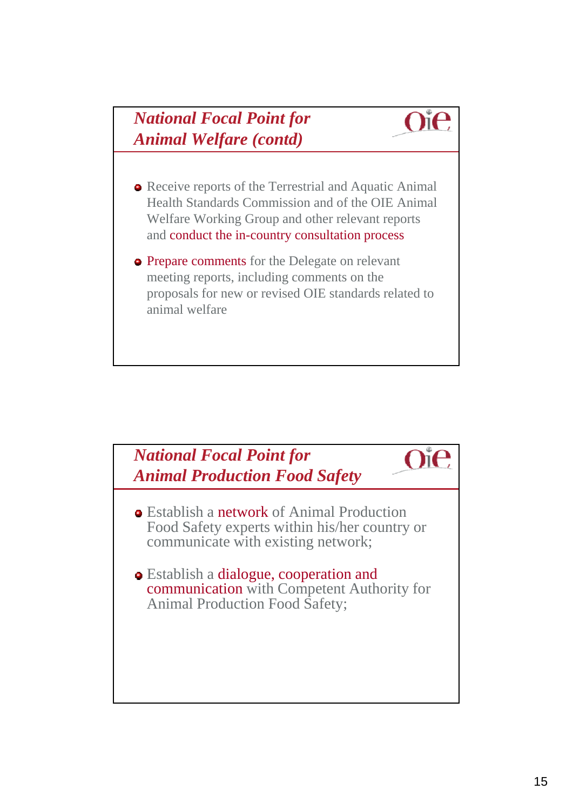# *National Focal Point for Animal Welfare (contd)*

• Receive reports of the Terrestrial and Aquatic Animal Health Standards Commission and of the OIE Animal Welfare Working Group and other relevant reports and conduct the in-country consultation process

 $O$ i $O$ 

**• Prepare comments** for the Delegate on relevant meeting reports, including comments on the proposals for new or revised OIE standards related to animal welfare

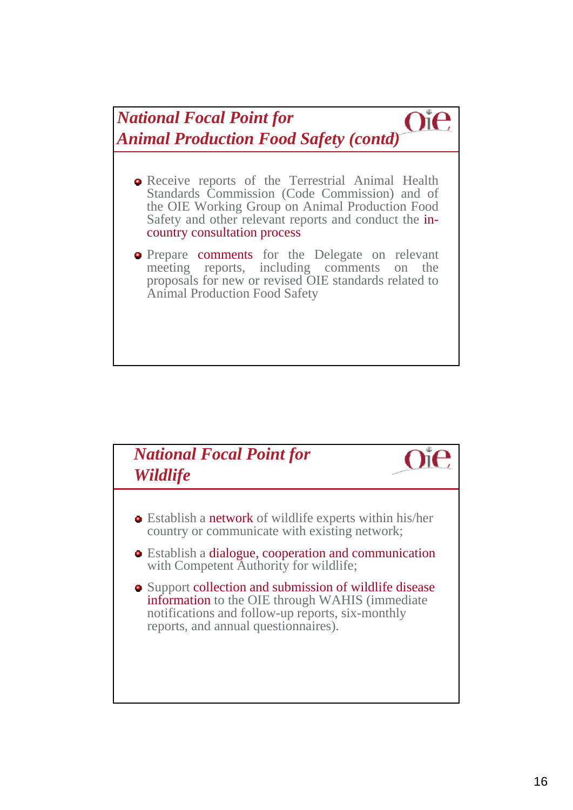*National Focal Point for*   $O^{\circ}$ e *Animal Production Food Safety (contd)*

- **•** Receive reports of the Terrestrial Animal Health Standards Commission (Code Commission) and of the OIE Working Group on Animal Production Food Safety and other relevant reports and conduct the incountry consultation process
- **•** Prepare comments for the Delegate on relevant meeting reports, including comments on the proposals for new or revised OIE standards related to Animal Production Food Safety

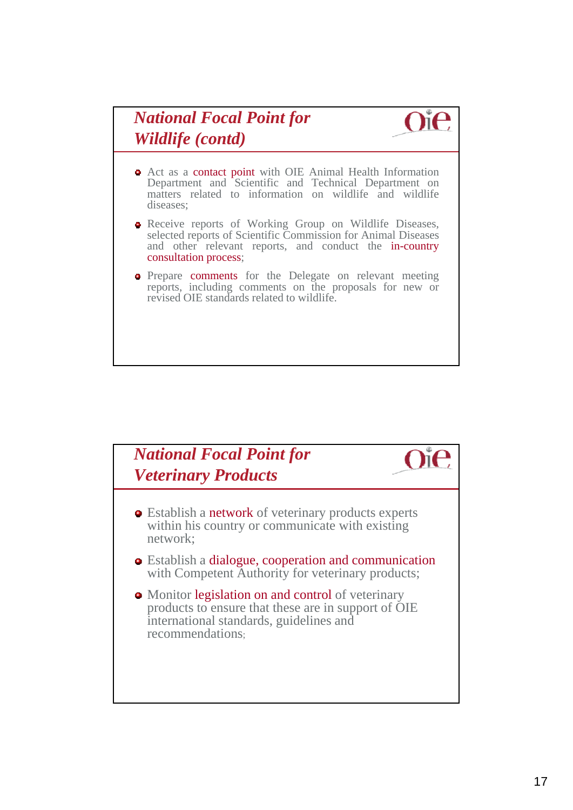# *National Focal Point for Wildlife (contd)*



- Act as a contact point with OIE Animal Health Information Department and Scientific and Technical Department on matters related to information on wildlife and wildlife diseases;
- Receive reports of Working Group on Wildlife Diseases, selected reports of Scientific Commission for Animal Diseases and other relevant reports, and conduct the in-country consultation process;
- **•** Prepare comments for the Delegate on relevant meeting reports, including comments on the proposals for new or revised OIE standards related to wildlife.